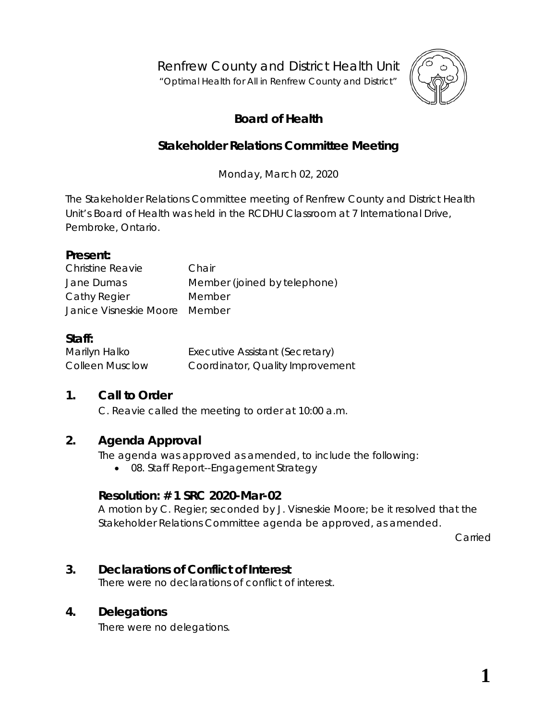Renfrew County and District Health Unit

"*Optimal Health for All in Renfrew County and District"*



# **Board of Health**

## **Stakeholder Relations Committee Meeting**

Monday, March 02, 2020

The Stakeholder Relations Committee meeting of Renfrew County and District Health Unit's Board of Health was held in the RCDHU Classroom at 7 International Drive, Pembroke, Ontario.

#### **Present:**

| Christine Reavie              | Chair                        |
|-------------------------------|------------------------------|
| Jane Dumas                    | Member (joined by telephone) |
| Cathy Regier                  | Member                       |
| Janice Visneskie Moore Member |                              |

### **Staff:**

| Marilyn Halko          | Executive Assistant (Secretary)  |  |
|------------------------|----------------------------------|--|
| <b>Colleen Musclow</b> | Coordinator, Quality Improvement |  |

#### **1. Call to Order**

C. Reavie called the meeting to order at 10:00 a.m.

#### **2. Agenda Approval**

The agenda was approved as amended, to include the following:

• 08. Staff Report--Engagement Strategy

#### **Resolution: # 1 SRC 2020-Mar-02**

A motion by C. Regier; seconded by J. Visneskie Moore; be it resolved that the Stakeholder Relations Committee agenda be approved, as amended.

Carried

## **3. Declarations of Conflict of Interest**

There were no declarations of conflict of interest.

## **4. Delegations**

There were no delegations.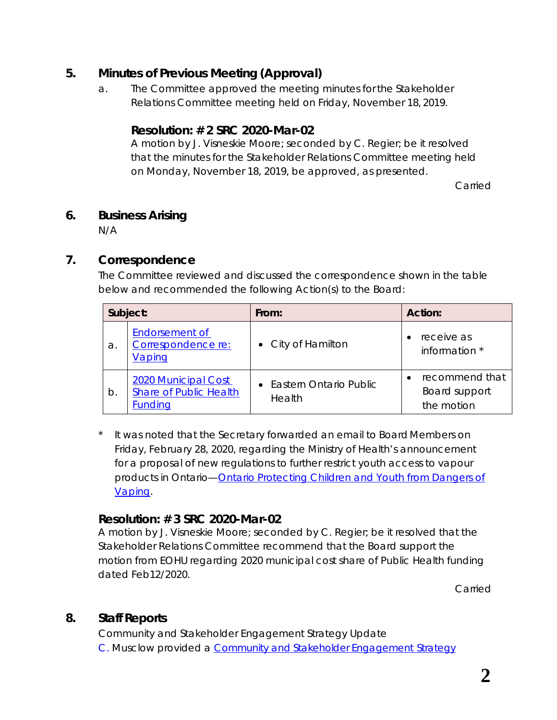#### **5. Minutes of Previous Meeting (Approval)**

a. The Committee approved the meeting minutes for the Stakeholder Relations Committee meeting held on Friday, November 18, 2019.

#### **Resolution: # 2 SRC 2020-Mar-02**

A motion by J. Visneskie Moore; seconded by C. Regier; be it resolved that the minutes for the Stakeholder Relations Committee meeting held on Monday, November 18, 2019, be approved, as presented.

Carried

#### **6. Business Arising**

N/A

## **7. Correspondence**

The Committee reviewed and discussed the correspondence shown in the table below and recommended the following *Action*(s) to the Board:

|    | Subject:                                                               | From:                              | Action:                                       |
|----|------------------------------------------------------------------------|------------------------------------|-----------------------------------------------|
| a. | Endorsement of<br>Correspondence re:<br>Vaping                         | • City of Hamilton                 | receive as<br>information *                   |
| b. | 2020 Municipal Cost<br><b>Share of Public Health</b><br><b>Funding</b> | • Eastern Ontario Public<br>Health | recommend that<br>Board support<br>the motion |

It was noted that the Secretary forwarded an email to Board Members on Friday, February 28, 2020, regarding the Ministry of Health's announcement for a proposal of new regulations to further restrict youth access to vapour products in Ontario—*[Ontario Protecting Children and Youth](http://portal.rcdhu.com/board/wp-content/uploads/2019/10/07.-o.-Protecting-Youth-from-the-Dangers-of-Vaping.pdf) from Dangers of [Vaping](http://portal.rcdhu.com/board/wp-content/uploads/2019/10/07.-o.-Protecting-Youth-from-the-Dangers-of-Vaping.pdf)*.

#### **Resolution: # 3 SRC 2020-Mar-02**

A motion by J. Visneskie Moore; seconded by C. Regier; be it resolved that the Stakeholder Relations Committee recommend that the Board support the motion from EOHU regarding 2020 municipal cost share of Public Health funding dated Feb12/2020.

Carried

## **8. Staff Reports**

Community and Stakeholder Engagement Strategy Update C. Musclow provided a *[Community and Stakeholder Engagement](http://portal.rcdhu.com/board/wp-content/uploads/2020/02/Appendix-B-Community-and-Stakeholder-Engagement-Strategy-RCDHU.pdf) Strategy*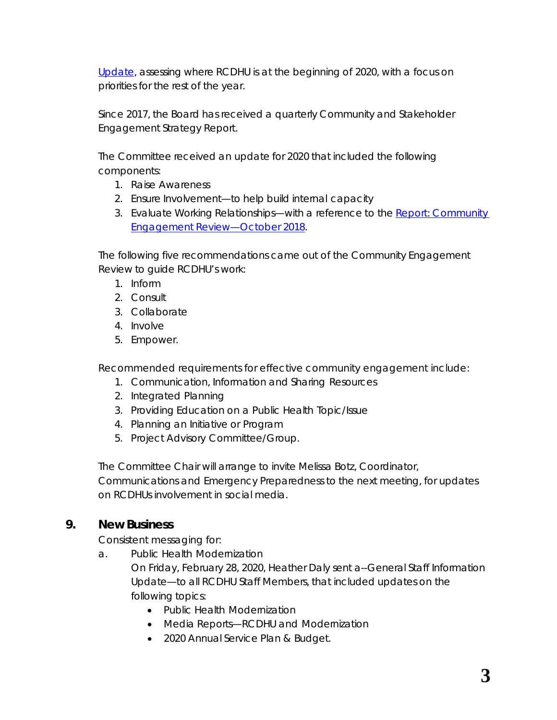*[Update](http://portal.rcdhu.com/board/wp-content/uploads/2020/02/Appendix-B-Community-and-Stakeholder-Engagement-Strategy-RCDHU.pdf)*, assessing where RCDHU is at the beginning of 2020, with a focus on priorities for the rest of the year.

Since 2017, the Board has received a quarterly Community and Stakeholder Engagement Strategy Report.

The Committee received an update for 2020 that included the following components:

- 1. Raise Awareness
- 2. Ensure Involvement—to help build internal capacity
- 3. Evaluate Working Relationships—with a reference to the *[Report: Community](http://portal.rcdhu.com/board/wp-content/uploads/2021/02/11.-a.-RCDHU-Report-Community-Engagement-Review-October-2018.pdf)  [Engagement Review—October 2018](http://portal.rcdhu.com/board/wp-content/uploads/2021/02/11.-a.-RCDHU-Report-Community-Engagement-Review-October-2018.pdf)*.

The following five recommendations came out of the *Community Engagement Review* to guide RCDHU's work:

- 1. Inform
- 2. Consult
- 3. Collaborate
- 4. Involve
- 5. Empower.

Recommended requirements for effective community engagement include:

- 1. Communication, Information and Sharing Resources
- 2. Integrated Planning
- 3. Providing Education on a Public Health Topic/Issue
- 4. Planning an Initiative or Program
- 5. Project Advisory Committee/Group.

The Committee Chair will arrange to invite Melissa Botz, Coordinator, Communications and Emergency Preparedness to the next meeting, for updates on RCDHUs involvement in social media.

#### **9. New Business**

Consistent messaging for:

a. Public Health Modernization

On Friday, February 28, 2020, Heather Daly sent a--*General Staff Information Update*—to all RCDHU Staff Members, that included updates on the following topics:

- Public Health Modernization
- Media Reports—RCDHU and Modernization
- 2020 Annual Service Plan & Budget.